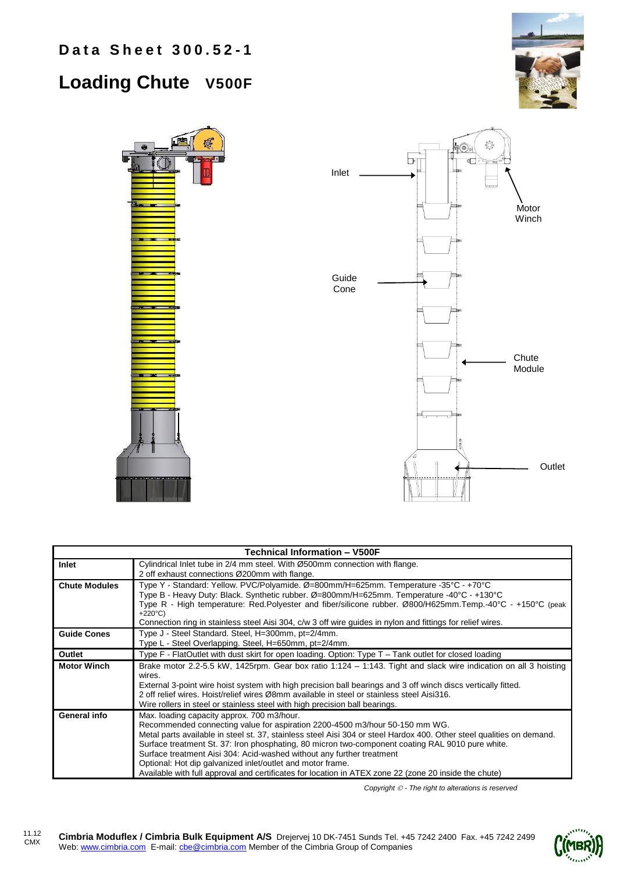## **Loading Chute V500F**





| <b>Technical Information - V500F</b> |                                                                                                                                                                                                                                                                                                                                                                                                                                                                                                                                                                                                        |  |  |  |
|--------------------------------------|--------------------------------------------------------------------------------------------------------------------------------------------------------------------------------------------------------------------------------------------------------------------------------------------------------------------------------------------------------------------------------------------------------------------------------------------------------------------------------------------------------------------------------------------------------------------------------------------------------|--|--|--|
| Inlet                                | Cylindrical Inlet tube in 2/4 mm steel. With Ø500mm connection with flange.<br>2 off exhaust connections Ø200mm with flange.                                                                                                                                                                                                                                                                                                                                                                                                                                                                           |  |  |  |
| <b>Chute Modules</b>                 | Type Y - Standard: Yellow. PVC/Polyamide. Ø=800mm/H=625mm. Temperature -35°C - +70°C<br>Type B - Heavy Duty: Black. Synthetic rubber. Ø=800mm/H=625mm. Temperature -40°C - +130°C<br>Type R - High temperature: Red.Polyester and fiber/silicone rubber. Ø800/H625mm.Temp.-40°C - +150°C (peak<br>$+220^{\circ}C$<br>Connection ring in stainless steel Aisi 304, c/w 3 off wire guides in nylon and fittings for relief wires.                                                                                                                                                                        |  |  |  |
| <b>Guide Cones</b>                   | Type J - Steel Standard. Steel, H=300mm, pt=2/4mm.<br>Type L - Steel Overlapping. Steel, H=650mm, pt=2/4mm.                                                                                                                                                                                                                                                                                                                                                                                                                                                                                            |  |  |  |
| Outlet                               | Type $F$ - FlatOutlet with dust skirt for open loading. Option: Type $T -$ Tank outlet for closed loading                                                                                                                                                                                                                                                                                                                                                                                                                                                                                              |  |  |  |
| <b>Motor Winch</b>                   | Brake motor 2.2-5.5 kW, 1425rpm. Gear box ratio 1:124 - 1:143. Tight and slack wire indication on all 3 hoisting<br>wires.<br>External 3-point wire hoist system with high precision ball bearings and 3 off winch discs vertically fitted.<br>2 off relief wires. Hoist/relief wires Ø8mm available in steel or stainless steel Aisi316.<br>Wire rollers in steel or stainless steel with high precision ball bearings.                                                                                                                                                                               |  |  |  |
| General info                         | Max. loading capacity approx. 700 m3/hour.<br>Recommended connecting value for aspiration 2200-4500 m3/hour 50-150 mm WG.<br>Metal parts available in steel st. 37, stainless steel Aisi 304 or steel Hardox 400. Other steel qualities on demand.<br>Surface treatment St. 37: Iron phosphating, 80 micron two-component coating RAL 9010 pure white.<br>Surface treatment Aisi 304: Acid-washed without any further treatment<br>Optional: Hot dip galvanized inlet/outlet and motor frame.<br>Available with full approval and certificates for location in ATEX zone 22 (zone 20 inside the chute) |  |  |  |

*Copyright - The right to alterations is reserved*